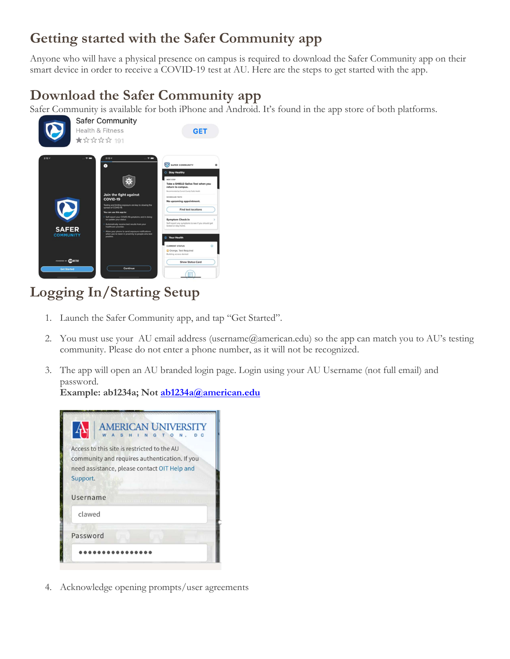## Getting started with the Safer Community app

Anyone who will have a physical presence on campus is required to download the Safer Community app on their smart device in order to receive a COVID-19 test at AU. Here are the steps to get started with the app.

## Download the Safer Community app

Safer Community is available for both iPhone and Android. It's found in the app store of both platforms.



## Logging In/Starting Setup

- 1. Launch the Safer Community app, and tap "Get Started".
- 2. You must use your AU email address (username@american.edu) so the app can match you to AU's testing community. Please do not enter a phone number, as it will not be recognized.
- 3. The app will open an AU branded login page. Login using your AU Username (not full email) and password.

Example: ab1234a; Not ab1234a@american.edu



4. Acknowledge opening prompts/user agreements